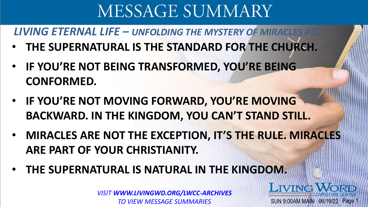**LIVING ETERNAL LIFE – UNFOLDING THE MYSTERY OF MIRACLES** 

- **THE SUPERNATURAL IS THE STANDARD FOR THE CHURCH.**
- **IF YOU'RE NOT BEING TRANSFORMED, YOU'RE BEING CONFORMED.**
- **IF YOU'RE NOT MOVING FORWARD, YOU'RE MOVING BACKWARD. IN THE KINGDOM, YOU CAN'T STAND STILL.**
- **MIRACLES ARE NOT THE EXCEPTION, IT'S THE RULE. MIRACLES ARE PART OF YOUR CHRISTIANITY.**

SUN 9:00AM MAIN 06/19/22 Page

**LIVING** 

• **THE SUPERNATURAL IS NATURAL IN THE KINGDOM.** 

*VISIT WWW.LIVINGWD.ORG/LWCC-ARCHIVES TO VIEW MESSAGE SUMMARIES*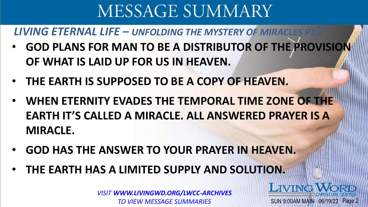**LIVING ETERNAL LIFE – UNFOLDING THE MYSTERY OF MIRACLES** 

- **GOD PLANS FOR MAN TO BE A DISTRIBUTOR OF THE PROVISION OF WHAT IS LAID UP FOR US IN HEAVEN.**
- **THE EARTH IS SUPPOSED TO BE A COPY OF HEAVEN.**
- **WHEN ETERNITY EVADES THE TEMPORAL TIME ZONE OF THE EARTH IT'S CALLED A MIRACLE. ALL ANSWERED PRAYER IS A MIRACLE.**
- **GOD HAS THE ANSWER TO YOUR PRAYER IN HEAVEN.**
- **THE EARTH HAS A LIMITED SUPPLY AND SOLUTION.**

*VISIT WWW.LIVINGWD.ORG/LWCC-ARCHIVES TO VIEW MESSAGE SUMMARIES*

SUN 9:00AM MAIN 06/19/22 Page 2

**LIVING**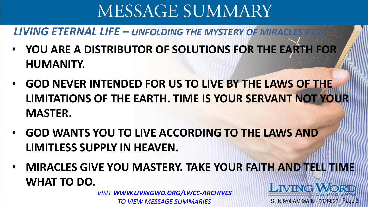### **LIVING ETERNAL LIFE – UNFOLDING THE MYSTERY OF MIRACLES**

- **YOU ARE A DISTRIBUTOR OF SOLUTIONS FOR THE EARTH FOR HUMANITY.**
- **GOD NEVER INTENDED FOR US TO LIVE BY THE LAWS OF THE LIMITATIONS OF THE EARTH. TIME IS YOUR SERVANT NOT YOUR MASTER.**
- **GOD WANTS YOU TO LIVE ACCORDING TO THE LAWS AND LIMITLESS SUPPLY IN HEAVEN.**
- **MIRACLES GIVE YOU MASTERY. TAKE YOUR FAITH AND TELL TIME WHAT TO DO. LIVING WORD**

SUN 9:00AM MAIN 06/19/22 Page 3

*VISIT WWW.LIVINGWD.ORG/LWCC-ARCHIVES TO VIEW MESSAGE SUMMARIES*